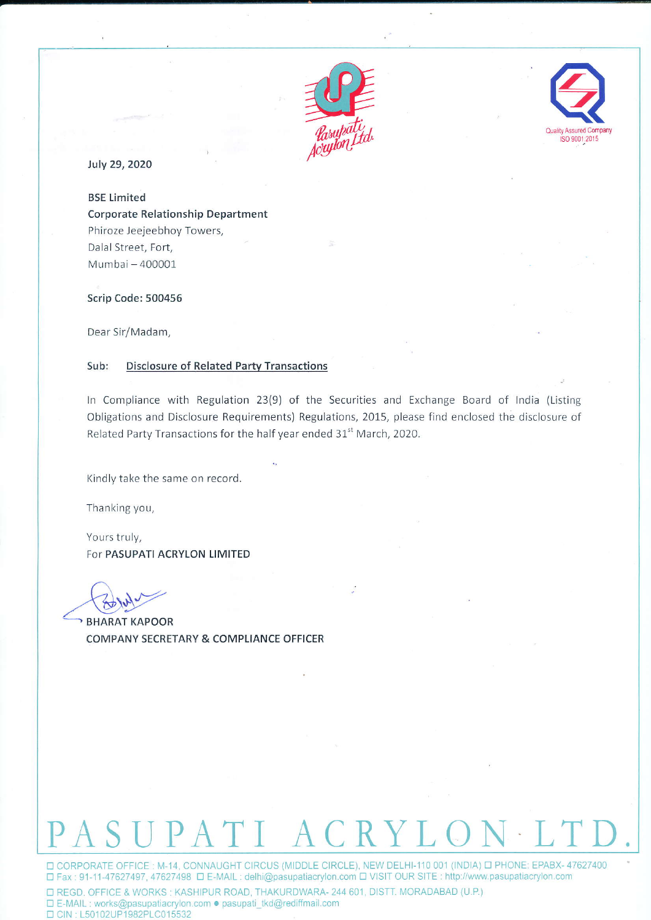



July 29, 2020

**BSE Limited Corporate Relationship Department** Phiroze Jeejeebhoy Towers, Dalal Street, Fort, Mumbai - 400001

Scrip Code: 500456

Dear Sir/Madam,

## Sub: **Disclosure of Related Party Transactions**

In Compliance with Regulation 23(9) of the Securities and Exchange Board of India (Listing Obligations and Disclosure Requirements) Regulations, 2015, please find enclosed the disclosure of Related Party Transactions for the half year ended 31<sup>st</sup> March, 2020.

Kindly take the same on record.

Thanking you,

Yours truly, For PASUPATI ACRYLON LIMITED

**BHARAT KAPOOR** COMPANY SECRETARY & COMPLIANCE OFFICER

## SUPATI ACRY

□ CORPORATE OFFICE : M-14, CONNAUGHT CIRCUS (MIDDLE CIRCLE), NEW DELHI-110 001 (INDIA) □ PHONE: EPABX- 47627400 □ Fax: 91-11-47627497, 47627498 □ E-MAIL: delhi@pasupatiacrylon.com □ VISIT OUR SITE: http://www.pasupatiacrylon.com

D REGD. OFFICE & WORKS: KASHIPUR ROAD, THAKURDWARA- 244 601, DISTT. MORADABAD (U.P.) □ E-MAIL : works@pasupatiacrylon.com · pasupati\_tkd@rediffmail.com □ CIN: L50102UP1982PLC015532